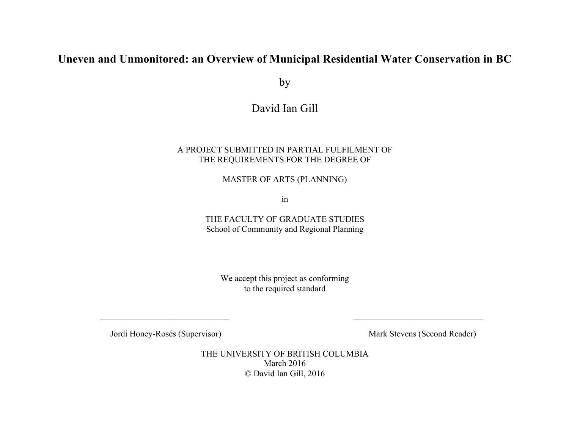# **Uneven and Unmonitored: an Overview of Municipal Residential Water Conservation in BC**

by

# David Ian Gill

### A PROJECT SUBMITTED IN PARTIAL FULFILMENT OF THE REQUIREMENTS FOR THE DEGREE OF

MASTER OF ARTS (PLANNING)

in

THE FACULTY OF GRADUATE STUDIES School of Community and Regional Planning

We accept this project as conforming to the required standard

 $\_$  , and the contribution of the contribution of  $\overline{\mathcal{L}}$  , and the contribution of  $\overline{\mathcal{L}}$  , and  $\overline{\mathcal{L}}$ 

Jordi Honey-Rosés (Supervisor) Mark Stevens (Second Reader)

THE UNIVERSITY OF BRITISH COLUMBIA March 2016 © David Ian Gill, 2016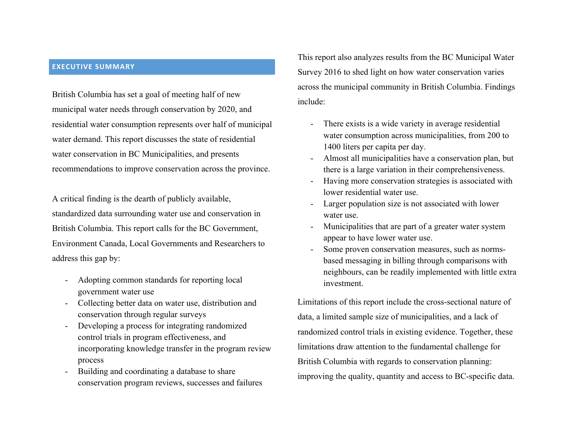#### **EXECUTIVE SUMMARY**

British Columbia has set a goal of meeting half of new municipal water needs through conservation by 2020, and residential water consumption represents over half of municipal water demand. This report discusses the state of residential water conservation in BC Municipalities, and presents recommendations to improve conservation across the province.

A critical finding is the dearth of publicly available, standardized data surrounding water use and conservation in British Columbia. This report calls for the BC Government, Environment Canada, Local Governments and Researchers to address this gap by:

- Adopting common standards for reporting local government water use
- Collecting better data on water use, distribution and conservation through regular surveys
- Developing a process for integrating randomized control trials in program effectiveness, and incorporating knowledge transfer in the program review process
- Building and coordinating a database to share conservation program reviews, successes and failures

This report also analyzes results from the BC Municipal Water Survey 2016 to shed light on how water conservation varies across the municipal community in British Columbia. Findings include:

- There exists is a wide variety in average residential water consumption across municipalities, from 200 to 1400 liters per capita per day.
- Almost all municipalities have a conservation plan, but there is a large variation in their comprehensiveness.
- Having more conservation strategies is associated with lower residential water use.
- Larger population size is not associated with lower water use.
- Municipalities that are part of a greater water system appear to have lower water use.
- Some proven conservation measures, such as normsbased messaging in billing through comparisons with neighbours, can be readily implemented with little extra investment.

Limitations of this report include the cross-sectional nature of data, a limited sample size of municipalities, and a lack of randomized control trials in existing evidence. Together, these limitations draw attention to the fundamental challenge for British Columbia with regards to conservation planning: improving the quality, quantity and access to BC-specific data.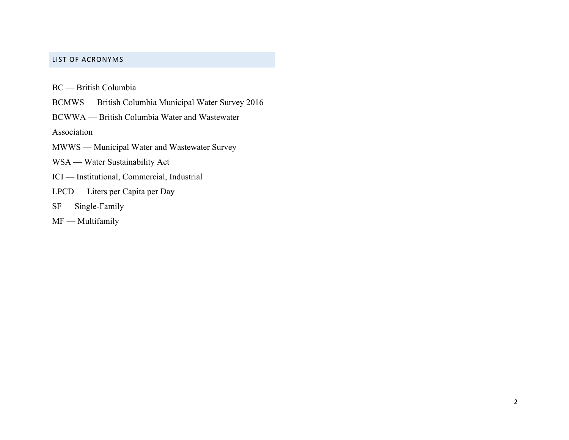### LIST OF ACRONYMS

BC — British Columbia

BCMWS — British Columbia Municipal Water Survey 2016

BCWWA — British Columbia Water and Wastewater

Association

MWWS — Municipal Water and Wastewater Survey

WSA — Water Sustainability Act

ICI — Institutional, Commercial, Industrial

LPCD — Liters per Capita per Day

SF — Single-Family

MF — Multifamily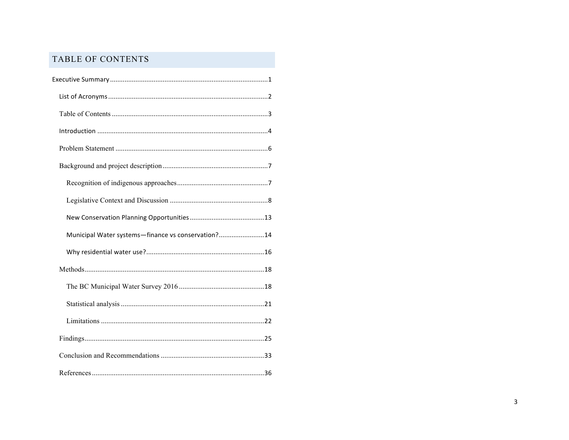## TABLE OF CONTENTS

| Municipal Water systems-finance vs conservation?14 |
|----------------------------------------------------|
|                                                    |
|                                                    |
|                                                    |
|                                                    |
|                                                    |
|                                                    |
|                                                    |
|                                                    |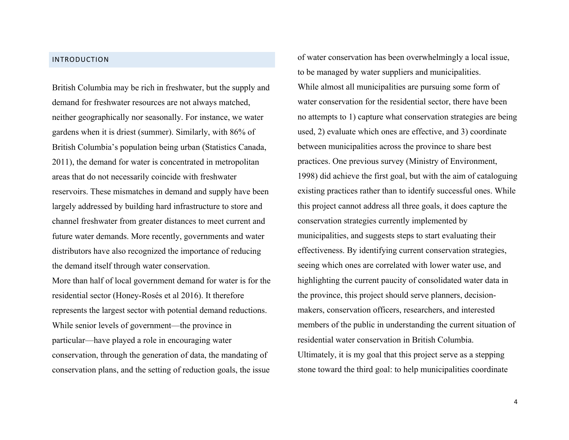#### INTRODUCTION

British Columbia may be rich in freshwater, but the supply and demand for freshwater resources are not always matched, neither geographically nor seasonally. For instance, we water gardens when it is driest (summer). Similarly, with 86% of British Columbia's population being urban (Statistics Canada, 2011), the demand for water is concentrated in metropolitan areas that do not necessarily coincide with freshwater reservoirs. These mismatches in demand and supply have been largely addressed by building hard infrastructure to store and channel freshwater from greater distances to meet current and future water demands. More recently, governments and water distributors have also recognized the importance of reducing the demand itself through water conservation.

More than half of local government demand for water is for the residential sector (Honey-Rosés et al 2016). It therefore represents the largest sector with potential demand reductions. While senior levels of government—the province in particular—have played a role in encouraging water conservation, through the generation of data, the mandating of conservation plans, and the setting of reduction goals, the issue

of water conservation has been overwhelmingly a local issue, to be managed by water suppliers and municipalities. While almost all municipalities are pursuing some form of water conservation for the residential sector, there have been no attempts to 1) capture what conservation strategies are being used, 2) evaluate which ones are effective, and 3) coordinate between municipalities across the province to share best practices. One previous survey (Ministry of Environment, 1998) did achieve the first goal, but with the aim of cataloguing existing practices rather than to identify successful ones. While this project cannot address all three goals, it does capture the conservation strategies currently implemented by municipalities, and suggests steps to start evaluating their effectiveness. By identifying current conservation strategies, seeing which ones are correlated with lower water use, and highlighting the current paucity of consolidated water data in the province, this project should serve planners, decisionmakers, conservation officers, researchers, and interested members of the public in understanding the current situation of residential water conservation in British Columbia. Ultimately, it is my goal that this project serve as a stepping stone toward the third goal: to help municipalities coordinate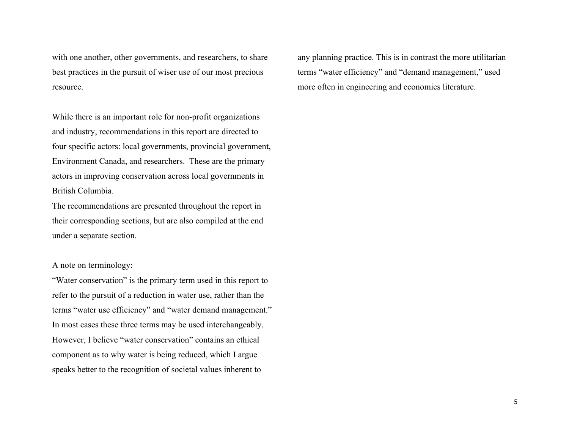with one another, other governments, and researchers, to share best practices in the pursuit of wiser use of our most precious resource.

While there is an important role for non-profit organizations and industry, recommendations in this report are directed to four specific actors: local governments, provincial government, Environment Canada, and researchers. These are the primary actors in improving conservation across local governments in British Columbia.

The recommendations are presented throughout the report in their corresponding sections, but are also compiled at the end under a separate section.

A note on terminology:

"Water conservation" is the primary term used in this report to refer to the pursuit of a reduction in water use, rather than the terms "water use efficiency" and "water demand management." In most cases these three terms may be used interchangeably. However, I believe "water conservation" contains an ethical component as to why water is being reduced, which I argue speaks better to the recognition of societal values inherent to

any planning practice. This is in contrast the more utilitarian terms "water efficiency" and "demand management," used more often in engineering and economics literature.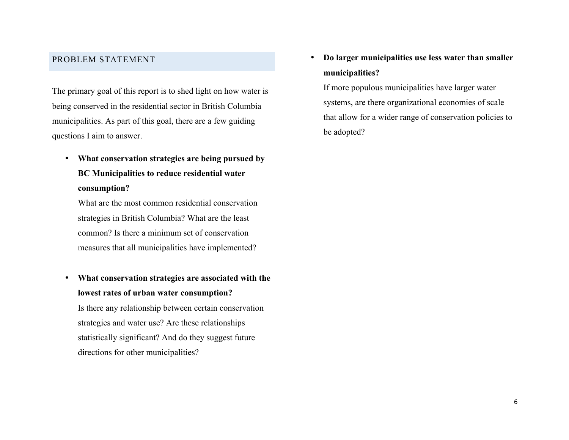## PROBLEM STATEMENT

The primary goal of this report is to shed light on how water is being conserved in the residential sector in British Columbia municipalities. As part of this goal, there are a few guiding questions I aim to answer.

• **What conservation strategies are being pursued by BC Municipalities to reduce residential water consumption?**

What are the most common residential conservation strategies in British Columbia? What are the least common? Is there a minimum set of conservation measures that all municipalities have implemented?

• **What conservation strategies are associated with the lowest rates of urban water consumption?** Is there any relationship between certain conservation strategies and water use? Are these relationships statistically significant? And do they suggest future directions for other municipalities?

• **Do larger municipalities use less water than smaller municipalities?**

If more populous municipalities have larger water systems, are there organizational economies of scale that allow for a wider range of conservation policies to be adopted?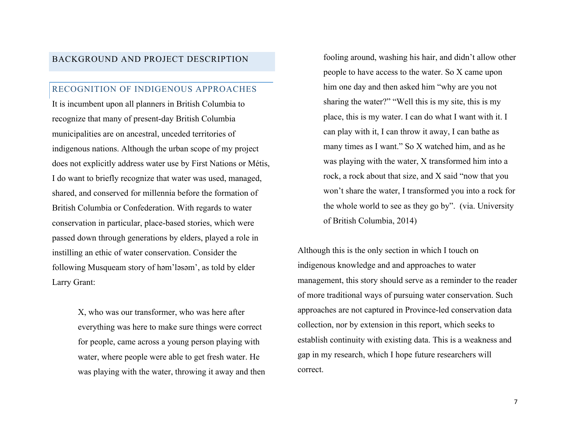## BACKGROUND AND PROJECT DESCRIPTION

### RECOGNITION OF INDIGENOUS APPROACHES

It is incumbent upon all planners in British Columbia to recognize that many of present-day British Columbia municipalities are on ancestral, unceded territories of indigenous nations. Although the urban scope of my project does not explicitly address water use by First Nations or Métis, I do want to briefly recognize that water was used, managed, shared, and conserved for millennia before the formation of British Columbia or Confederation. With regards to water conservation in particular, place-based stories, which were passed down through generations by elders, played a role in instilling an ethic of water conservation. Consider the following Musqueam story of həm'ləsəm', as told by elder Larry Grant:

> X, who was our transformer, who was here after everything was here to make sure things were correct for people, came across a young person playing with water, where people were able to get fresh water. He was playing with the water, throwing it away and then

fooling around, washing his hair, and didn't allow other people to have access to the water. So X came upon him one day and then asked him "why are you not sharing the water?" "Well this is my site, this is my place, this is my water. I can do what I want with it. I can play with it, I can throw it away, I can bathe as many times as I want." So X watched him, and as he was playing with the water, X transformed him into a rock, a rock about that size, and X said "now that you won't share the water, I transformed you into a rock for the whole world to see as they go by". (via. University of British Columbia, 2014)

Although this is the only section in which I touch on indigenous knowledge and and approaches to water management, this story should serve as a reminder to the reader of more traditional ways of pursuing water conservation. Such approaches are not captured in Province-led conservation data collection, nor by extension in this report, which seeks to establish continuity with existing data. This is a weakness and gap in my research, which I hope future researchers will correct.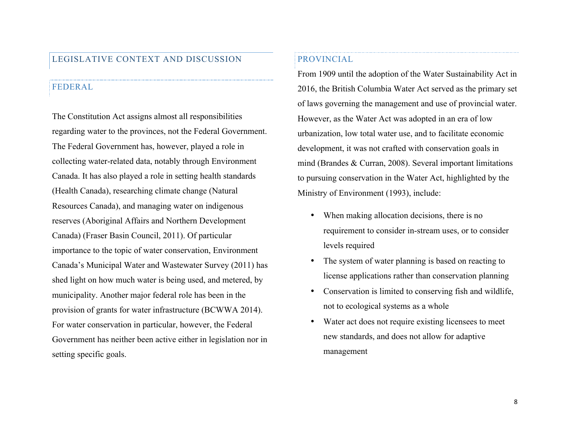## LEGISLATIVE CONTEXT AND DISCUSSION

#### FEDERAL

The Constitution Act assigns almost all responsibilities regarding water to the provinces, not the Federal Government. The Federal Government has, however, played a role in collecting water-related data, notably through Environment Canada. It has also played a role in setting health standards (Health Canada), researching climate change (Natural Resources Canada), and managing water on indigenous reserves (Aboriginal Affairs and Northern Development Canada) (Fraser Basin Council, 2011). Of particular importance to the topic of water conservation, Environment Canada's Municipal Water and Wastewater Survey (2011) has shed light on how much water is being used, and metered, by municipality. Another major federal role has been in the provision of grants for water infrastructure (BCWWA 2014). For water conservation in particular, however, the Federal Government has neither been active either in legislation nor in setting specific goals.

## PROVINCIAL

From 1909 until the adoption of the Water Sustainability Act in 2016, the British Columbia Water Act served as the primary set of laws governing the management and use of provincial water. However, as the Water Act was adopted in an era of low urbanization, low total water use, and to facilitate economic development, it was not crafted with conservation goals in mind (Brandes & Curran, 2008). Several important limitations to pursuing conservation in the Water Act, highlighted by the Ministry of Environment (1993), include:

- When making allocation decisions, there is no requirement to consider in-stream uses, or to consider levels required
- The system of water planning is based on reacting to license applications rather than conservation planning
- Conservation is limited to conserving fish and wildlife, not to ecological systems as a whole
- Water act does not require existing licensees to meet new standards, and does not allow for adaptive management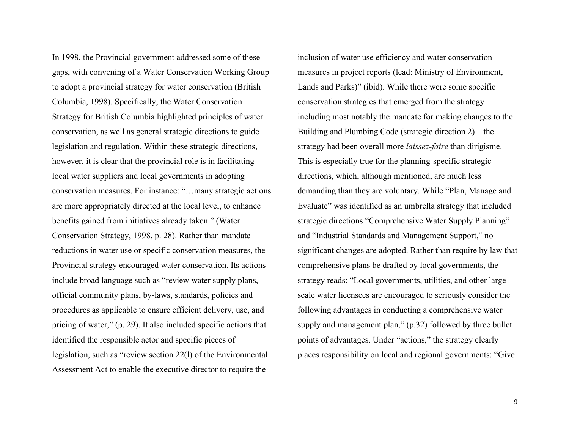In 1998, the Provincial government addressed some of these gaps, with convening of a Water Conservation Working Group to adopt a provincial strategy for water conservation (British Columbia, 1998). Specifically, the Water Conservation Strategy for British Columbia highlighted principles of water conservation, as well as general strategic directions to guide legislation and regulation. Within these strategic directions, however, it is clear that the provincial role is in facilitating local water suppliers and local governments in adopting conservation measures. For instance: "…many strategic actions are more appropriately directed at the local level, to enhance benefits gained from initiatives already taken." (Water Conservation Strategy, 1998, p. 28). Rather than mandate reductions in water use or specific conservation measures, the Provincial strategy encouraged water conservation. Its actions include broad language such as "review water supply plans, official community plans, by-laws, standards, policies and procedures as applicable to ensure efficient delivery, use, and pricing of water," (p. 29). It also included specific actions that identified the responsible actor and specific pieces of legislation, such as "review section 22(l) of the Environmental Assessment Act to enable the executive director to require the

inclusion of water use efficiency and water conservation measures in project reports (lead: Ministry of Environment, Lands and Parks)" (ibid). While there were some specific conservation strategies that emerged from the strategy including most notably the mandate for making changes to the Building and Plumbing Code (strategic direction 2)—the strategy had been overall more *laissez-faire* than dirigisme. This is especially true for the planning-specific strategic directions, which, although mentioned, are much less demanding than they are voluntary. While "Plan, Manage and Evaluate" was identified as an umbrella strategy that included strategic directions "Comprehensive Water Supply Planning" and "Industrial Standards and Management Support," no significant changes are adopted. Rather than require by law that comprehensive plans be drafted by local governments, the strategy reads: "Local governments, utilities, and other largescale water licensees are encouraged to seriously consider the following advantages in conducting a comprehensive water supply and management plan," (p.32) followed by three bullet points of advantages. Under "actions," the strategy clearly places responsibility on local and regional governments: "Give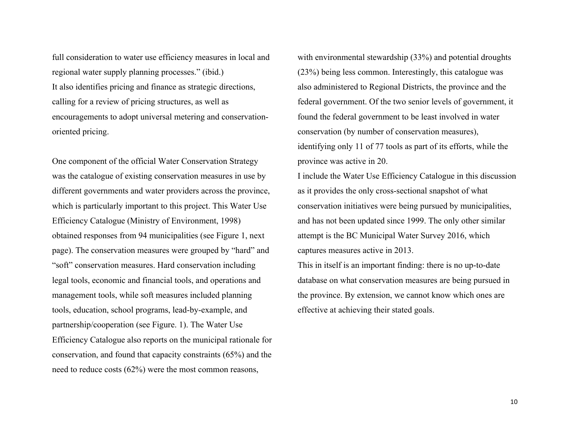full consideration to water use efficiency measures in local and regional water supply planning processes." (ibid.) It also identifies pricing and finance as strategic directions, calling for a review of pricing structures, as well as encouragements to adopt universal metering and conservationoriented pricing.

One component of the official Water Conservation Strategy was the catalogue of existing conservation measures in use by different governments and water providers across the province, which is particularly important to this project. This Water Use Efficiency Catalogue (Ministry of Environment, 1998) obtained responses from 94 municipalities (see Figure 1, next page). The conservation measures were grouped by "hard" and "soft" conservation measures. Hard conservation including legal tools, economic and financial tools, and operations and management tools, while soft measures included planning tools, education, school programs, lead-by-example, and partnership/cooperation (see Figure. 1). The Water Use Efficiency Catalogue also reports on the municipal rationale for conservation, and found that capacity constraints (65%) and the need to reduce costs (62%) were the most common reasons,

with environmental stewardship (33%) and potential droughts (23%) being less common. Interestingly, this catalogue was also administered to Regional Districts, the province and the federal government. Of the two senior levels of government, it found the federal government to be least involved in water conservation (by number of conservation measures), identifying only 11 of 77 tools as part of its efforts, while the province was active in 20.

I include the Water Use Efficiency Catalogue in this discussion as it provides the only cross-sectional snapshot of what conservation initiatives were being pursued by municipalities, and has not been updated since 1999. The only other similar attempt is the BC Municipal Water Survey 2016, which captures measures active in 2013.

This in itself is an important finding: there is no up-to-date database on what conservation measures are being pursued in the province. By extension, we cannot know which ones are effective at achieving their stated goals.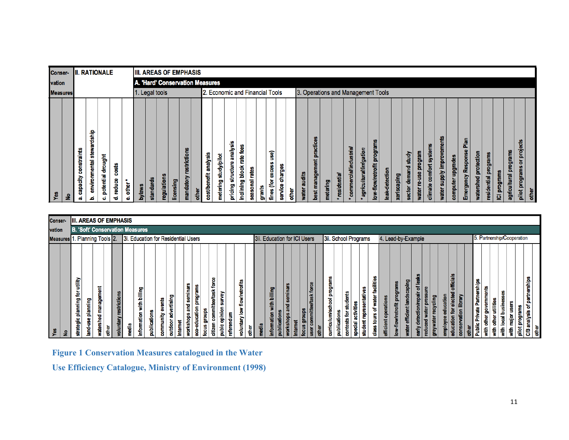| Yes                                    |                                                                    |                                |  |
|----------------------------------------|--------------------------------------------------------------------|--------------------------------|--|
| 욷                                      | vation<br><b>Measures</b>                                          | Conser-                        |  |
| constraints<br>capacity<br>αå          |                                                                    |                                |  |
| stewardship<br>environmental<br>ئم     |                                                                    |                                |  |
| drought<br>potential<br>ó              |                                                                    | <b>II. RATIONALE</b>           |  |
| costs<br>reduce<br>ಕ                   |                                                                    |                                |  |
| -11<br>other <sup>1</sup><br>۵Ŝ        |                                                                    |                                |  |
| bylaws                                 |                                                                    |                                |  |
| standards                              |                                                                    |                                |  |
| regulations                            | 1. Legal tools                                                     |                                |  |
| licensing                              |                                                                    |                                |  |
| ۰<br>restrictio<br>mandatory           |                                                                    | <b>IIII. AREAS OF EMPHASIS</b> |  |
| other                                  |                                                                    |                                |  |
| analysis<br>cost/benefit               | A. 'Hard' Conservation Measures<br>2. Economic and Financial Tools |                                |  |
| study/pilot<br>metering                |                                                                    |                                |  |
| analysis<br>structure<br>pricing:      |                                                                    |                                |  |
| fees<br>te<br>inclining block          |                                                                    |                                |  |
| seasonal rates                         |                                                                    |                                |  |
| grants                                 |                                                                    |                                |  |
| <b>GSD</b><br>excess<br>ē<br>fines     |                                                                    |                                |  |
| charges<br>service                     |                                                                    |                                |  |
| other                                  |                                                                    |                                |  |
| audits<br>water                        | 3. Operations and Management Tools                                 |                                |  |
| practices<br>best management           |                                                                    |                                |  |
| metering                               |                                                                    |                                |  |
| residential                            |                                                                    |                                |  |
| commercial/industrial                  |                                                                    |                                |  |
| agricultural/irrigation                |                                                                    |                                |  |
| low-flow/retrofit programs             |                                                                    |                                |  |
| leak-detection                         |                                                                    |                                |  |
| xeriscaping                            |                                                                    |                                |  |
| demand study<br>sector                 |                                                                    |                                |  |
| program<br>9SD.<br>စ္စ<br><b>water</b> |                                                                    |                                |  |
| comfort systems<br>climate             |                                                                    |                                |  |
| supply improvements<br>water           |                                                                    |                                |  |
| computer upgrades                      |                                                                    |                                |  |
| 흝<br>Emergency Response                |                                                                    |                                |  |
| watershed protection                   |                                                                    |                                |  |
| residential programs                   |                                                                    |                                |  |
| ICI programs                           |                                                                    |                                |  |
| agricultural programs                  |                                                                    |                                |  |
| or projects<br>pilot programs          |                                                                    |                                |  |
| other                                  |                                                                    |                                |  |

| Yes                                                      | vation<br>Measures 1. Planning Tools 2. | Conser-                                |  |
|----------------------------------------------------------|-----------------------------------------|----------------------------------------|--|
| £                                                        |                                         |                                        |  |
| utility<br>ğ<br>planning<br>strategic                    |                                         |                                        |  |
| land-use planning                                        |                                         |                                        |  |
| management<br>watershed                                  |                                         |                                        |  |
| other                                                    |                                         | <b>IIII. AREAS OF EMPHASIS</b>         |  |
| voluntary restrictions                                   |                                         |                                        |  |
| media                                                    |                                         |                                        |  |
| information with billing                                 | 3i. Education for Residential Users     | <b>B. 'Soft' Conservation Measures</b> |  |
| publications                                             |                                         |                                        |  |
| events<br>community                                      |                                         |                                        |  |
| advertising<br>outdoor                                   |                                         |                                        |  |
| seminars<br>workshops and<br>Intern                      |                                         |                                        |  |
| programs<br>education<br>focus<br>ġ                      |                                         |                                        |  |
| force<br>citizen committee/task<br>groups                |                                         |                                        |  |
| γgγ<br>븖<br>opinion<br>pubic                             |                                         |                                        |  |
| referendum                                               |                                         |                                        |  |
| flow/retrofits<br>voluntary low                          |                                         |                                        |  |
| $rac{1}{2}$                                              |                                         |                                        |  |
| media                                                    |                                         |                                        |  |
| with billing<br>ation<br>inform                          | 3ii. Education for ICI Users            |                                        |  |
| seminars<br>$\overline{a}$<br>tion<br>publi              |                                         |                                        |  |
| iops<br>Internet                                         |                                         |                                        |  |
| sano<br>o<br>focus                                       |                                         |                                        |  |
| e/task force                                             |                                         |                                        |  |
| cther                                                    |                                         |                                        |  |
| programs<br>curriculum/school                            |                                         |                                        |  |
| publications<br>contests for                             |                                         |                                        |  |
| students<br>activities<br>special                        | 3ii. School Programs                    |                                        |  |
| <b>tative</b><br>student                                 |                                         |                                        |  |
| facilities<br>water<br>ъ<br>tours<br>class               |                                         |                                        |  |
| operations<br>efficient                                  |                                         |                                        |  |
| programs<br>low-flow/retrofit                            | 4. Lead-by-Example                      |                                        |  |
| landscaping<br>water efficient                           |                                         |                                        |  |
| of leaks<br>detection/repair<br>early                    |                                         |                                        |  |
| 皀<br>greywater recycling<br>Ω<br>읇<br><b>Tag</b><br>redu |                                         |                                        |  |
| education<br>employee                                    |                                         |                                        |  |
| officials<br>electe<br>$\mathbf{p}$<br>ducation          |                                         |                                        |  |
| conservation library                                     |                                         |                                        |  |
| Public Private Partnerships<br>۰                         |                                         |                                        |  |
| 씥<br>o<br>ō<br>튱<br>ŧ                                    |                                         |                                        |  |
| utilities<br>other<br>看                                  |                                         |                                        |  |
| å<br>busine<br>local<br>흏                                | 5. Partnership/Cooperation              |                                        |  |
| hajor<br>major<br>ŧ                                      |                                         |                                        |  |
| partnerships<br>ቴ<br>pilot programs<br>C/B analysis      |                                         |                                        |  |
| other                                                    |                                         |                                        |  |
|                                                          |                                         |                                        |  |

**Figure 1 Conservation Measures catalogued in the Water** 

**Use Efficiency Catalogue, Ministry of Environment (1998)**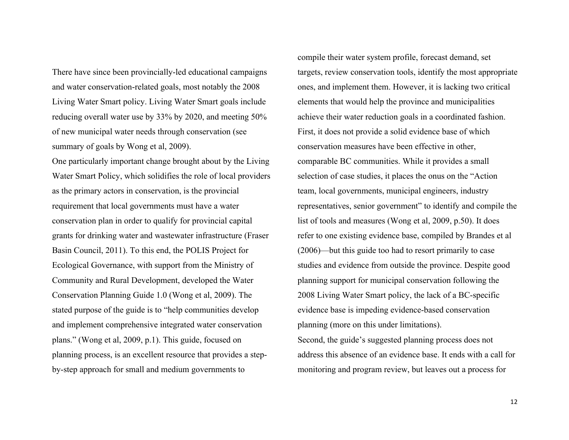There have since been provincially-led educational campaigns and water conservation-related goals, most notably the 2008 Living Water Smart policy. Living Water Smart goals include reducing overall water use by 33% by 2020, and meeting 50% of new municipal water needs through conservation (see summary of goals by Wong et al, 2009).

One particularly important change brought about by the Living Water Smart Policy, which solidifies the role of local providers as the primary actors in conservation, is the provincial requirement that local governments must have a water conservation plan in order to qualify for provincial capital grants for drinking water and wastewater infrastructure (Fraser Basin Council, 2011). To this end, the POLIS Project for Ecological Governance, with support from the Ministry of Community and Rural Development, developed the Water Conservation Planning Guide 1.0 (Wong et al, 2009). The stated purpose of the guide is to "help communities develop and implement comprehensive integrated water conservation plans." (Wong et al, 2009, p.1). This guide, focused on planning process, is an excellent resource that provides a stepby-step approach for small and medium governments to

compile their water system profile, forecast demand, set targets, review conservation tools, identify the most appropriate ones, and implement them. However, it is lacking two critical elements that would help the province and municipalities achieve their water reduction goals in a coordinated fashion. First, it does not provide a solid evidence base of which conservation measures have been effective in other, comparable BC communities. While it provides a small selection of case studies, it places the onus on the "Action team, local governments, municipal engineers, industry representatives, senior government" to identify and compile the list of tools and measures (Wong et al, 2009, p.50). It does refer to one existing evidence base, compiled by Brandes et al (2006)—but this guide too had to resort primarily to case studies and evidence from outside the province. Despite good planning support for municipal conservation following the 2008 Living Water Smart policy, the lack of a BC-specific evidence base is impeding evidence-based conservation planning (more on this under limitations). Second, the guide's suggested planning process does not

address this absence of an evidence base. It ends with a call for monitoring and program review, but leaves out a process for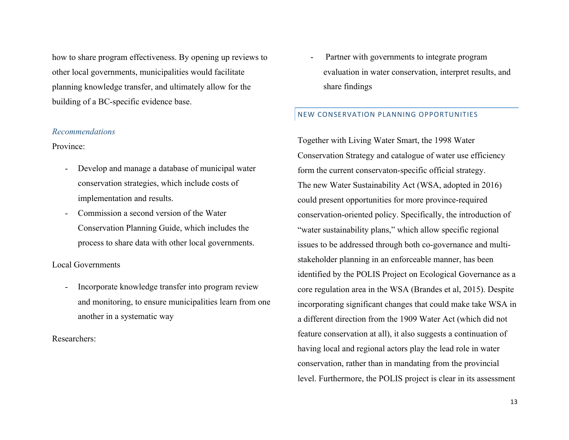how to share program effectiveness. By opening up reviews to other local governments, municipalities would facilitate planning knowledge transfer, and ultimately allow for the building of a BC-specific evidence base.

#### *Recommendations*

Province:

- Develop and manage a database of municipal water conservation strategies, which include costs of implementation and results.
- Commission a second version of the Water Conservation Planning Guide, which includes the process to share data with other local governments.

#### Local Governments

- Incorporate knowledge transfer into program review and monitoring, to ensure municipalities learn from one another in a systematic way

Researchers:

Partner with governments to integrate program evaluation in water conservation, interpret results, and share findings

#### NEW CONSERVATION PLANNING OPPORTUNITIES

Together with Living Water Smart, the 1998 Water Conservation Strategy and catalogue of water use efficiency form the current conservaton-specific official strategy. The new Water Sustainability Act (WSA, adopted in 2016) could present opportunities for more province-required conservation-oriented policy. Specifically, the introduction of "water sustainability plans," which allow specific regional issues to be addressed through both co-governance and multistakeholder planning in an enforceable manner, has been identified by the POLIS Project on Ecological Governance as a core regulation area in the WSA (Brandes et al, 2015). Despite incorporating significant changes that could make take WSA in a different direction from the 1909 Water Act (which did not feature conservation at all), it also suggests a continuation of having local and regional actors play the lead role in water conservation, rather than in mandating from the provincial level. Furthermore, the POLIS project is clear in its assessment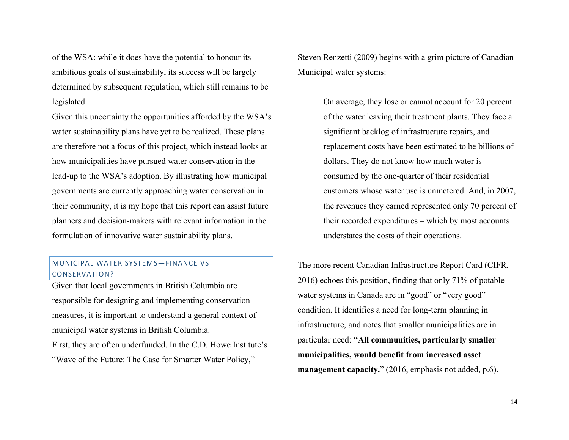of the WSA: while it does have the potential to honour its ambitious goals of sustainability, its success will be largely determined by subsequent regulation, which still remains to be legislated.

Given this uncertainty the opportunities afforded by the WSA's water sustainability plans have yet to be realized. These plans are therefore not a focus of this project, which instead looks at how municipalities have pursued water conservation in the lead-up to the WSA's adoption. By illustrating how municipal governments are currently approaching water conservation in their community, it is my hope that this report can assist future planners and decision-makers with relevant information in the formulation of innovative water sustainability plans.

## MUNICIPAL WATER SYSTEMS-FINANCE VS CONSERVATION?

Given that local governments in British Columbia are responsible for designing and implementing conservation measures, it is important to understand a general context of municipal water systems in British Columbia. First, they are often underfunded. In the C.D. Howe Institute's

"Wave of the Future: The Case for Smarter Water Policy,"

Steven Renzetti (2009) begins with a grim picture of Canadian Municipal water systems:

> On average, they lose or cannot account for 20 percent of the water leaving their treatment plants. They face a significant backlog of infrastructure repairs, and replacement costs have been estimated to be billions of dollars. They do not know how much water is consumed by the one-quarter of their residential customers whose water use is unmetered. And, in 2007, the revenues they earned represented only 70 percent of their recorded expenditures – which by most accounts understates the costs of their operations.

The more recent Canadian Infrastructure Report Card (CIFR, 2016) echoes this position, finding that only 71% of potable water systems in Canada are in "good" or "very good" condition. It identifies a need for long-term planning in infrastructure, and notes that smaller municipalities are in particular need: **"All communities, particularly smaller municipalities, would benefit from increased asset management capacity.**" (2016, emphasis not added, p.6).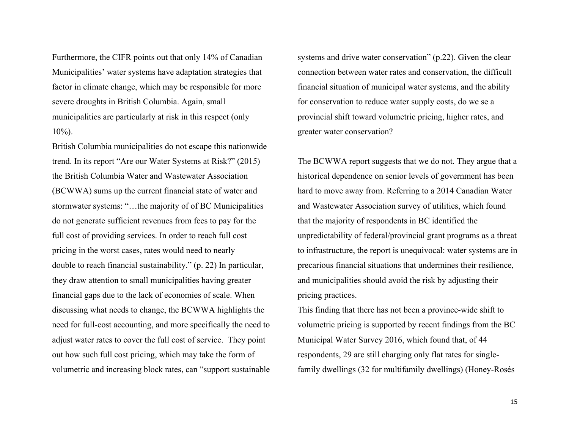Furthermore, the CIFR points out that only 14% of Canadian Municipalities' water systems have adaptation strategies that factor in climate change, which may be responsible for more severe droughts in British Columbia. Again, small municipalities are particularly at risk in this respect (only  $10\%$ ).

British Columbia municipalities do not escape this nationwide trend. In its report "Are our Water Systems at Risk?" (2015) the British Columbia Water and Wastewater Association (BCWWA) sums up the current financial state of water and stormwater systems: "…the majority of of BC Municipalities do not generate sufficient revenues from fees to pay for the full cost of providing services. In order to reach full cost pricing in the worst cases, rates would need to nearly double to reach financial sustainability." (p. 22) In particular, they draw attention to small municipalities having greater financial gaps due to the lack of economies of scale. When discussing what needs to change, the BCWWA highlights the need for full-cost accounting, and more specifically the need to adjust water rates to cover the full cost of service. They point out how such full cost pricing, which may take the form of volumetric and increasing block rates, can "support sustainable systems and drive water conservation" (p.22). Given the clear connection between water rates and conservation, the difficult financial situation of municipal water systems, and the ability for conservation to reduce water supply costs, do we se a provincial shift toward volumetric pricing, higher rates, and greater water conservation?

The BCWWA report suggests that we do not. They argue that a historical dependence on senior levels of government has been hard to move away from. Referring to a 2014 Canadian Water and Wastewater Association survey of utilities, which found that the majority of respondents in BC identified the unpredictability of federal/provincial grant programs as a threat to infrastructure, the report is unequivocal: water systems are in precarious financial situations that undermines their resilience, and municipalities should avoid the risk by adjusting their pricing practices.

This finding that there has not been a province-wide shift to volumetric pricing is supported by recent findings from the BC Municipal Water Survey 2016, which found that, of 44 respondents, 29 are still charging only flat rates for singlefamily dwellings (32 for multifamily dwellings) (Honey-Rosés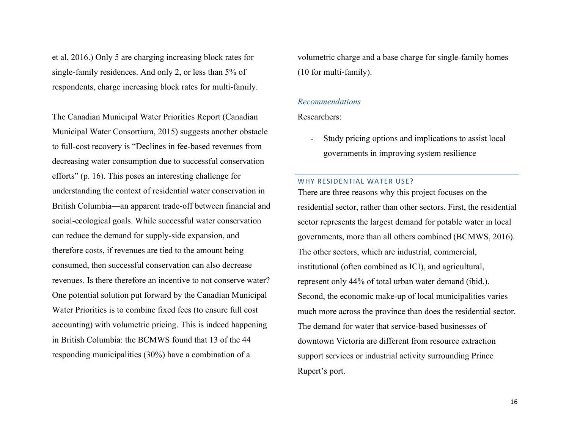et al, 2016.) Only 5 are charging increasing block rates for single-family residences. And only 2, or less than 5% of respondents, charge increasing block rates for multi-family.

The Canadian Municipal Water Priorities Report (Canadian Municipal Water Consortium, 2015) suggests another obstacle to full-cost recovery is "Declines in fee-based revenues from decreasing water consumption due to successful conservation efforts" (p. 16). This poses an interesting challenge for understanding the context of residential water conservation in British Columbia—an apparent trade-off between financial and social-ecological goals. While successful water conservation can reduce the demand for supply-side expansion, and therefore costs, if revenues are tied to the amount being consumed, then successful conservation can also decrease revenues. Is there therefore an incentive to not conserve water? One potential solution put forward by the Canadian Municipal Water Priorities is to combine fixed fees (to ensure full cost accounting) with volumetric pricing. This is indeed happening in British Columbia: the BCMWS found that 13 of the 44 responding municipalities (30%) have a combination of a

volumetric charge and a base charge for single-family homes (10 for multi-family).

#### *Recommendations*

Researchers:

Study pricing options and implications to assist local governments in improving system resilience

## WHY RESIDENTIAL WATER USE?

There are three reasons why this project focuses on the residential sector, rather than other sectors. First, the residential sector represents the largest demand for potable water in local governments, more than all others combined (BCMWS, 2016). The other sectors, which are industrial, commercial, institutional (often combined as ICI), and agricultural, represent only 44% of total urban water demand (ibid.). Second, the economic make-up of local municipalities varies much more across the province than does the residential sector. The demand for water that service-based businesses of downtown Victoria are different from resource extraction support services or industrial activity surrounding Prince Rupert's port.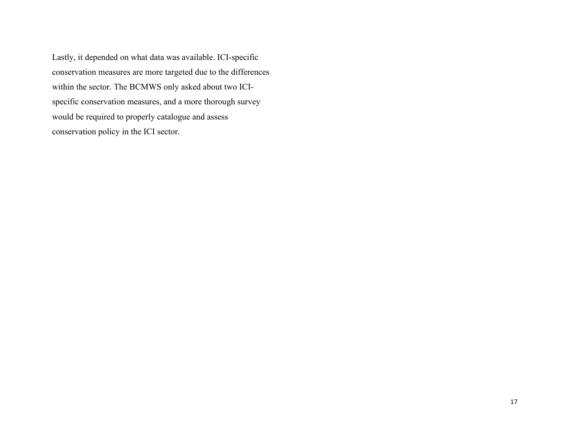Lastly, it depended on what data was available. ICI-specific conservation measures are more targeted due to the differences within the sector. The BCMWS only asked about two ICIspecific conservation measures, and a more thorough survey would be required to properly catalogue and assess conservation policy in the ICI sector.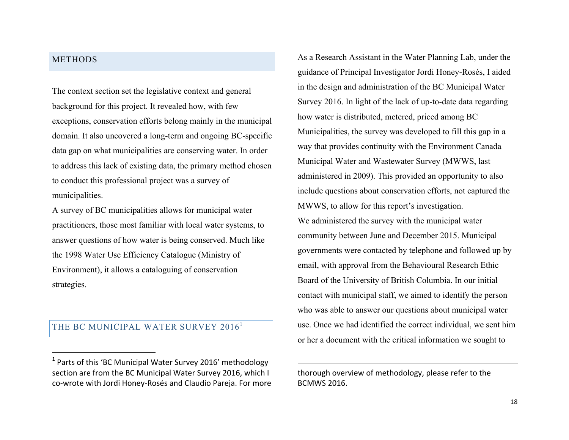## METHODS

 $\overline{a}$ 

The context section set the legislative context and general background for this project. It revealed how, with few exceptions, conservation efforts belong mainly in the municipal domain. It also uncovered a long-term and ongoing BC-specific data gap on what municipalities are conserving water. In order to address this lack of existing data, the primary method chosen to conduct this professional project was a survey of municipalities.

A survey of BC municipalities allows for municipal water practitioners, those most familiar with local water systems, to answer questions of how water is being conserved. Much like the 1998 Water Use Efficiency Catalogue (Ministry of Environment), it allows a cataloguing of conservation strategies.

## THE BC MUNICIPAL WATER SURVEY 2016<sup>1</sup>

As a Research Assistant in the Water Planning Lab, under the guidance of Principal Investigator Jordi Honey-Rosés, I aided in the design and administration of the BC Municipal Water Survey 2016. In light of the lack of up-to-date data regarding how water is distributed, metered, priced among BC Municipalities, the survey was developed to fill this gap in a way that provides continuity with the Environment Canada Municipal Water and Wastewater Survey (MWWS, last administered in 2009). This provided an opportunity to also include questions about conservation efforts, not captured the MWWS, to allow for this report's investigation. We administered the survey with the municipal water community between June and December 2015. Municipal governments were contacted by telephone and followed up by email, with approval from the Behavioural Research Ethic Board of the University of British Columbia. In our initial contact with municipal staff, we aimed to identify the person who was able to answer our questions about municipal water use. Once we had identified the correct individual, we sent him or her a document with the critical information we sought to

thorough overview of methodology, please refer to the **BCMWS 2016.** 

 $\overline{a}$ 

 $1$  Parts of this 'BC Municipal Water Survey 2016' methodology section are from the BC Municipal Water Survey 2016, which I co-wrote with Jordi Honey-Rosés and Claudio Pareja. For more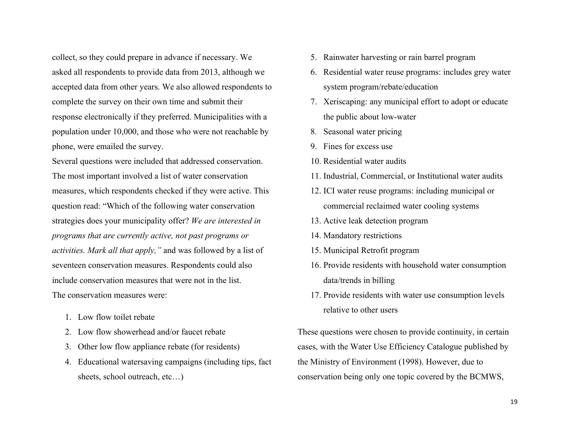collect, so they could prepare in advance if necessary. We asked all respondents to provide data from 2013, although we accepted data from other years. We also allowed respondents to complete the survey on their own time and submit their response electronically if they preferred. Municipalities with a population under 10,000, and those who were not reachable by phone, were emailed the survey.

Several questions were included that addressed conservation. The most important involved a list of water conservation measures, which respondents checked if they were active. This question read: "Which of the following water conservation strategies does your municipality offer? *We are interested in programs that are currently active, not past programs or activities. Mark all that apply,"* and was followed by a list of seventeen conservation measures. Respondents could also include conservation measures that were not in the list. The conservation measures were:

- 1. Low flow toilet rebate
- 2. Low flow showerhead and/or faucet rebate
- 3. Other low flow appliance rebate (for residents)
- 4. Educational watersaving campaigns (including tips, fact sheets, school outreach, etc…)
- 5. Rainwater harvesting or rain barrel program
- 6. Residential water reuse programs: includes grey water system program/rebate/education
- 7. Xeriscaping: any municipal effort to adopt or educate the public about low-water
- 8. Seasonal water pricing
- 9. Fines for excess use
- 10. Residential water audits
- 11. Industrial, Commercial, or Institutional water audits
- 12. ICI water reuse programs: including municipal or commercial reclaimed water cooling systems
- 13. Active leak detection program
- 14. Mandatory restrictions
- 15. Municipal Retrofit program
- 16. Provide residents with household water consumption data/trends in billing
- 17. Provide residents with water use consumption levels relative to other users

These questions were chosen to provide continuity, in certain cases, with the Water Use Efficiency Catalogue published by the Ministry of Environment (1998). However, due to conservation being only one topic covered by the BCMWS,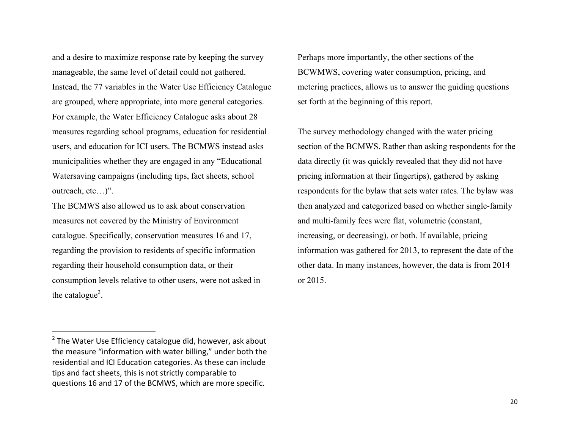and a desire to maximize response rate by keeping the survey manageable, the same level of detail could not gathered. Instead, the 77 variables in the Water Use Efficiency Catalogue are grouped, where appropriate, into more general categories. For example, the Water Efficiency Catalogue asks about 28 measures regarding school programs, education for residential users, and education for ICI users. The BCMWS instead asks municipalities whether they are engaged in any "Educational Watersaving campaigns (including tips, fact sheets, school outreach, etc…)".

The BCMWS also allowed us to ask about conservation measures not covered by the Ministry of Environment catalogue. Specifically, conservation measures 16 and 17, regarding the provision to residents of specific information regarding their household consumption data, or their consumption levels relative to other users, were not asked in the catalogue<sup>2</sup>.

The survey methodology changed with the water pricing section of the BCMWS. Rather than asking respondents for the data directly (it was quickly revealed that they did not have pricing information at their fingertips), gathered by asking respondents for the bylaw that sets water rates. The bylaw was then analyzed and categorized based on whether single-family and multi-family fees were flat, volumetric (constant, increasing, or decreasing), or both. If available, pricing information was gathered for 2013, to represent the date of the other data. In many instances, however, the data is from 2014 or 2015.

 $\overline{a}$ 

Perhaps more importantly, the other sections of the BCWMWS, covering water consumption, pricing, and metering practices, allows us to answer the guiding questions set forth at the beginning of this report.

 $2$  The Water Use Efficiency catalogue did, however, ask about the measure "information with water billing," under both the residential and ICI Education categories. As these can include tips and fact sheets, this is not strictly comparable to questions 16 and 17 of the BCMWS, which are more specific.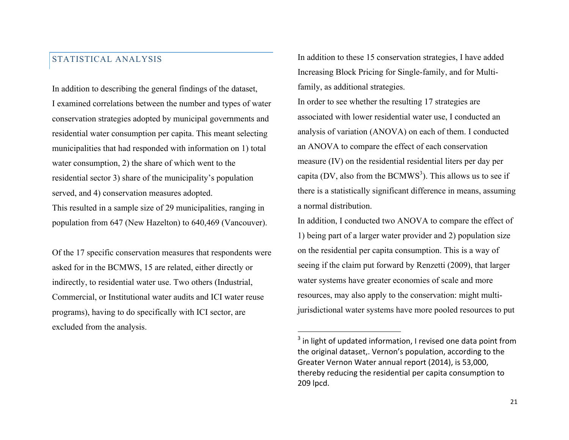## STATISTICAL ANALYSIS

In addition to describing the general findings of the dataset, I examined correlations between the number and types of water conservation strategies adopted by municipal governments and residential water consumption per capita. This meant selecting municipalities that had responded with information on 1) total water consumption, 2) the share of which went to the residential sector 3) share of the municipality's population served, and 4) conservation measures adopted. This resulted in a sample size of 29 municipalities, ranging in population from 647 (New Hazelton) to 640,469 (Vancouver).

Of the 17 specific conservation measures that respondents were asked for in the BCMWS, 15 are related, either directly or indirectly, to residential water use. Two others (Industrial, Commercial, or Institutional water audits and ICI water reuse programs), having to do specifically with ICI sector, are excluded from the analysis.

In addition to these 15 conservation strategies, I have added Increasing Block Pricing for Single-family, and for Multifamily, as additional strategies.

In order to see whether the resulting 17 strategies are associated with lower residential water use, I conducted an analysis of variation (ANOVA) on each of them. I conducted an ANOVA to compare the effect of each conservation measure (IV) on the residential residential liters per day per capita (DV, also from the  $\text{BCMWS}^3$ ). This allows us to see if there is a statistically significant difference in means, assuming a normal distribution.

In addition, I conducted two ANOVA to compare the effect of 1) being part of a larger water provider and 2) population size on the residential per capita consumption. This is a way of seeing if the claim put forward by Renzetti (2009), that larger water systems have greater economies of scale and more resources, may also apply to the conservation: might multijurisdictional water systems have more pooled resources to put

 $\overline{a}$ 

 $3$  in light of updated information, I revised one data point from the original dataset,. Vernon's population, according to the Greater Vernon Water annual report (2014), is 53,000, thereby reducing the residential per capita consumption to 209 lpcd.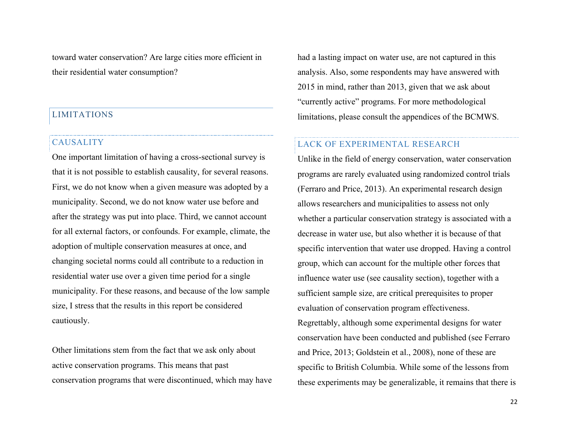toward water conservation? Are large cities more efficient in their residential water consumption?

## LIMITATIONS

## **CAUSALITY**

One important limitation of having a cross-sectional survey is that it is not possible to establish causality, for several reasons. First, we do not know when a given measure was adopted by a municipality. Second, we do not know water use before and after the strategy was put into place. Third, we cannot account for all external factors, or confounds. For example, climate, the adoption of multiple conservation measures at once, and changing societal norms could all contribute to a reduction in residential water use over a given time period for a single municipality. For these reasons, and because of the low sample size, I stress that the results in this report be considered cautiously.

Other limitations stem from the fact that we ask only about active conservation programs. This means that past conservation programs that were discontinued, which may have had a lasting impact on water use, are not captured in this analysis. Also, some respondents may have answered with 2015 in mind, rather than 2013, given that we ask about "currently active" programs. For more methodological limitations, please consult the appendices of the BCMWS.

## LACK OF EXPERIMENTAL RESEARCH

Unlike in the field of energy conservation, water conservation programs are rarely evaluated using randomized control trials (Ferraro and Price, 2013). An experimental research design allows researchers and municipalities to assess not only whether a particular conservation strategy is associated with a decrease in water use, but also whether it is because of that specific intervention that water use dropped. Having a control group, which can account for the multiple other forces that influence water use (see causality section), together with a sufficient sample size, are critical prerequisites to proper evaluation of conservation program effectiveness. Regrettably, although some experimental designs for water conservation have been conducted and published (see Ferraro and Price, 2013; Goldstein et al., 2008), none of these are specific to British Columbia. While some of the lessons from these experiments may be generalizable, it remains that there is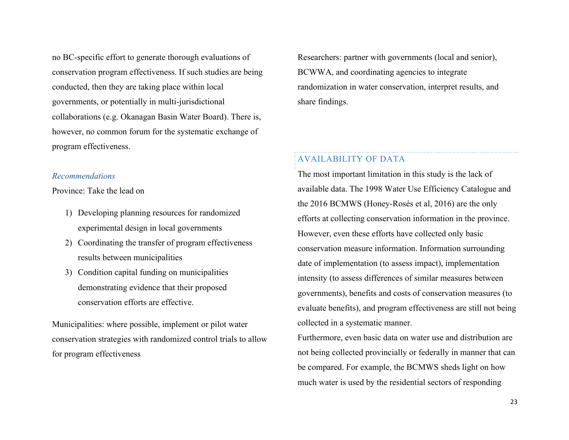no BC-specific effort to generate thorough evaluations of conservation program effectiveness. If such studies are being conducted, then they are taking place within local governments, or potentially in multi-jurisdictional collaborations (e.g. Okanagan Basin Water Board). There is, however, no common forum for the systematic exchange of program effectiveness.

#### *Recommendations*

Province: Take the lead on

- 1) Developing planning resources for randomized experimental design in local governments
- 2) Coordinating the transfer of program effectiveness results between municipalities
- 3) Condition capital funding on municipalities demonstrating evidence that their proposed conservation efforts are effective.

Municipalities: where possible, implement or pilot water conservation strategies with randomized control trials to allow for program effectiveness

Researchers: partner with governments (local and senior), BCWWA, and coordinating agencies to integrate randomization in water conservation, interpret results, and share findings.

## AVAILABILITY OF DATA

The most important limitation in this study is the lack of available data. The 1998 Water Use Efficiency Catalogue and the 2016 BCMWS (Honey-Rosés et al, 2016) are the only efforts at collecting conservation information in the province. However, even these efforts have collected only basic conservation measure information. Information surrounding date of implementation (to assess impact), implementation intensity (to assess differences of similar measures between governments), benefits and costs of conservation measures (to evaluate benefits), and program effectiveness are still not being collected in a systematic manner.

Furthermore, even basic data on water use and distribution are not being collected provincially or federally in manner that can be compared. For example, the BCMWS sheds light on how much water is used by the residential sectors of responding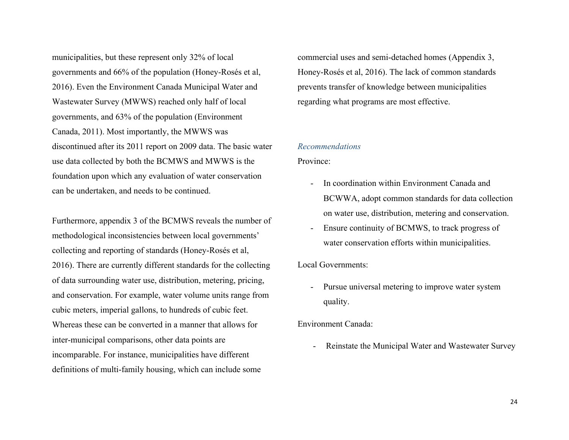municipalities, but these represent only 32% of local governments and 66% of the population (Honey-Rosés et al, 2016). Even the Environment Canada Municipal Water and Wastewater Survey (MWWS) reached only half of local governments, and 63% of the population (Environment Canada, 2011). Most importantly, the MWWS was discontinued after its 2011 report on 2009 data. The basic water use data collected by both the BCMWS and MWWS is the foundation upon which any evaluation of water conservation can be undertaken, and needs to be continued.

Furthermore, appendix 3 of the BCMWS reveals the number of methodological inconsistencies between local governments' collecting and reporting of standards (Honey-Rosés et al, 2016). There are currently different standards for the collecting of data surrounding water use, distribution, metering, pricing, and conservation. For example, water volume units range from cubic meters, imperial gallons, to hundreds of cubic feet. Whereas these can be converted in a manner that allows for inter-municipal comparisons, other data points are incomparable. For instance, municipalities have different definitions of multi-family housing, which can include some

commercial uses and semi-detached homes (Appendix 3, Honey-Rosés et al, 2016). The lack of common standards prevents transfer of knowledge between municipalities regarding what programs are most effective.

#### *Recommendations*

#### Province:

- In coordination within Environment Canada and BCWWA, adopt common standards for data collection on water use, distribution, metering and conservation.
- Ensure continuity of BCMWS, to track progress of water conservation efforts within municipalities.

#### Local Governments:

Pursue universal metering to improve water system quality.

#### Environment Canada:

- Reinstate the Municipal Water and Wastewater Survey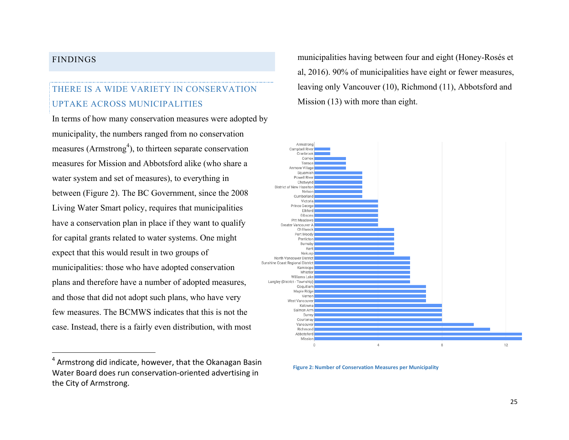## FINDINGS

 $\overline{a}$ 

## THERE IS A WIDE VARIETY IN CONSERVATION UPTAKE ACROSS MUNICIPALITIES

In terms of how many conservation measures were adopted by municipality, the numbers ranged from no conservation measures (Armstrong<sup>4</sup>), to thirteen separate conservation measures for Mission and Abbotsford alike (who share a water system and set of measures), to everything in between (Figure 2). The BC Government, since the 2008 Living Water Smart policy, requires that municipalities have a conservation plan in place if they want to qualify for capital grants related to water systems. One might expect that this would result in two groups of municipalities: those who have adopted conservation plans and therefore have a number of adopted measures, and those that did not adopt such plans, who have very few measures. The BCMWS indicates that this is not the case. Instead, there is a fairly even distribution, with most

municipalities having between four and eight (Honey-Rosés et al, 2016). 90% of municipalities have eight or fewer measures, leaving only Vancouver (10), Richmond (11), Abbotsford and Mission (13) with more than eight.



**Figure 2: Number of Conservation Measures per Municipality** 

 $4$  Armstrong did indicate, however, that the Okanagan Basin Water Board does run conservation-oriented advertising in the City of Armstrong.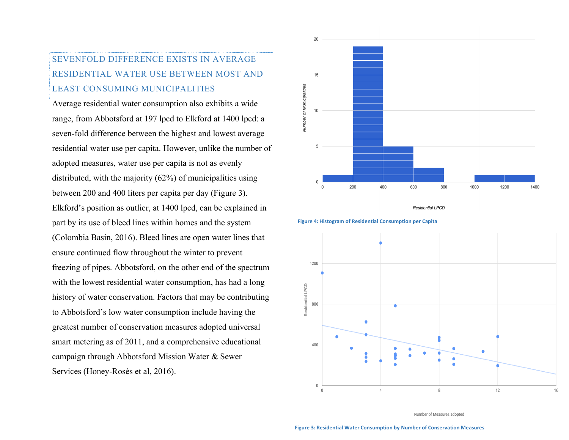# SEVENFOLD DIFFERENCE EXISTS IN AVERAGE RESIDENTIAL WATER USE BETWEEN MOST AND LEAST CONSUMING MUNICIPALITIES

Average residential water consumption also exhibits a wide range, from Abbotsford at 197 lpcd to Elkford at 1400 lpcd: a seven-fold difference between the highest and lowest average residential water use per capita. However, unlike the number of adopted measures, water use per capita is not as evenly distributed, with the majority (62%) of municipalities using between 200 and 400 liters per capita per day (Figure 3). Elkford's position as outlier, at 1400 lpcd, can be explained in part by its use of bleed lines within homes and the system (Colombia Basin, 2016). Bleed lines are open water lines that ensure continued flow throughout the winter to prevent freezing of pipes. Abbotsford, on the other end of the spectrum with the lowest residential water consumption, has had a long history of water conservation. Factors that may be contributing to Abbotsford's low water consumption include having the greatest number of conservation measures adopted universal smart metering as of 2011, and a comprehensive educational campaign through Abbotsford Mission Water & Sewer Services (Honey-Rosés et al, 2016).



Residential LPCD





Number of Measures adopted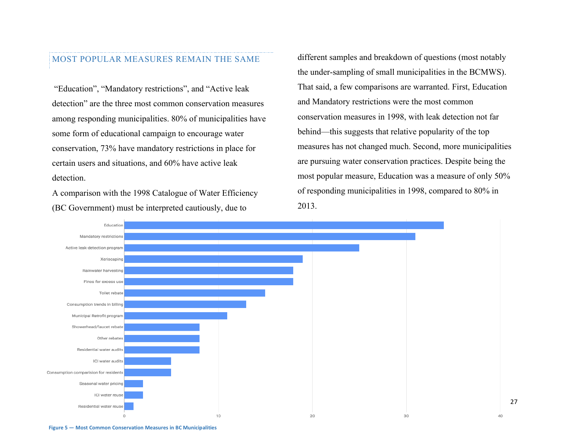#### MOST POPULAR MEASURES REMAIN THE SAME

"Education", "Mandatory restrictions", and "Active leak detection" are the three most common conservation measures among responding municipalities. 80% of municipalities have some form of educational campaign to encourage water conservation, 73% have mandatory restrictions in place for certain users and situations, and 60% have active leak detection.

A comparison with the 1998 Catalogue of Water Efficiency (BC Government) must be interpreted cautiously, due to

different samples and breakdown of questions (most notably the under-sampling of small municipalities in the BCMWS). That said, a few comparisons are warranted. First, Education and Mandatory restrictions were the most common conservation measures in 1998, with leak detection not far behind—this suggests that relative popularity of the top measures has not changed much. Second, more municipalities are pursuing water conservation practices. Despite being the most popular measure, Education was a measure of only 50% of responding municipalities in 1998, compared to 80% in 2013.

27



**Figure 5 – Most Common Conservation Measures in BC Municipalities**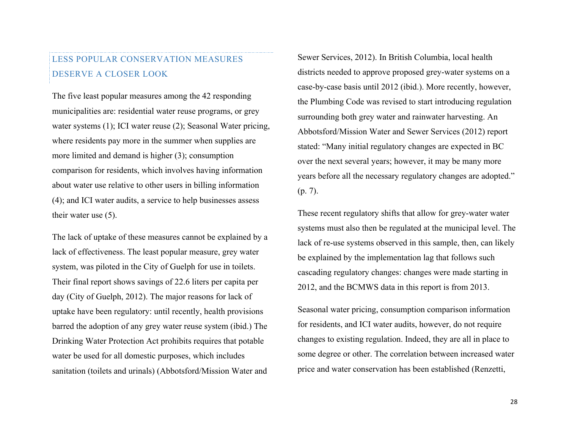# LESS POPULAR CONSERVATION MEASURES DESERVE A CLOSER LOOK

The five least popular measures among the 42 responding municipalities are: residential water reuse programs, or grey water systems (1); ICI water reuse (2); Seasonal Water pricing, where residents pay more in the summer when supplies are more limited and demand is higher (3); consumption comparison for residents, which involves having information about water use relative to other users in billing information (4); and ICI water audits, a service to help businesses assess their water use (5).

The lack of uptake of these measures cannot be explained by a lack of effectiveness. The least popular measure, grey water system, was piloted in the City of Guelph for use in toilets. Their final report shows savings of 22.6 liters per capita per day (City of Guelph, 2012). The major reasons for lack of uptake have been regulatory: until recently, health provisions barred the adoption of any grey water reuse system (ibid.) The Drinking Water Protection Act prohibits requires that potable water be used for all domestic purposes, which includes sanitation (toilets and urinals) (Abbotsford/Mission Water and

Sewer Services, 2012). In British Columbia, local health districts needed to approve proposed grey-water systems on a case-by-case basis until 2012 (ibid.). More recently, however, the Plumbing Code was revised to start introducing regulation surrounding both grey water and rainwater harvesting. An Abbotsford/Mission Water and Sewer Services (2012) report stated: "Many initial regulatory changes are expected in BC over the next several years; however, it may be many more years before all the necessary regulatory changes are adopted." (p. 7).

These recent regulatory shifts that allow for grey-water water systems must also then be regulated at the municipal level. The lack of re-use systems observed in this sample, then, can likely be explained by the implementation lag that follows such cascading regulatory changes: changes were made starting in 2012, and the BCMWS data in this report is from 2013.

Seasonal water pricing, consumption comparison information for residents, and ICI water audits, however, do not require changes to existing regulation. Indeed, they are all in place to some degree or other. The correlation between increased water price and water conservation has been established (Renzetti,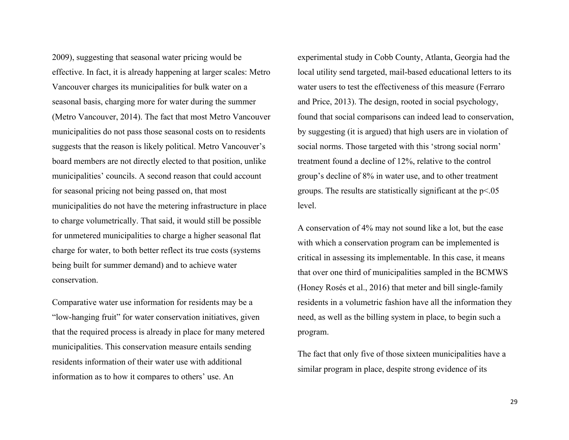2009), suggesting that seasonal water pricing would be effective. In fact, it is already happening at larger scales: Metro Vancouver charges its municipalities for bulk water on a seasonal basis, charging more for water during the summer (Metro Vancouver, 2014). The fact that most Metro Vancouver municipalities do not pass those seasonal costs on to residents suggests that the reason is likely political. Metro Vancouver's board members are not directly elected to that position, unlike municipalities' councils. A second reason that could account for seasonal pricing not being passed on, that most municipalities do not have the metering infrastructure in place to charge volumetrically. That said, it would still be possible for unmetered municipalities to charge a higher seasonal flat charge for water, to both better reflect its true costs (systems being built for summer demand) and to achieve water conservation.

Comparative water use information for residents may be a "low-hanging fruit" for water conservation initiatives, given that the required process is already in place for many metered municipalities. This conservation measure entails sending residents information of their water use with additional information as to how it compares to others' use. An

experimental study in Cobb County, Atlanta, Georgia had the local utility send targeted, mail-based educational letters to its water users to test the effectiveness of this measure (Ferraro and Price, 2013). The design, rooted in social psychology, found that social comparisons can indeed lead to conservation, by suggesting (it is argued) that high users are in violation of social norms. Those targeted with this 'strong social norm' treatment found a decline of 12%, relative to the control group's decline of 8% in water use, and to other treatment groups. The results are statistically significant at the p<.05 level.

A conservation of 4% may not sound like a lot, but the ease with which a conservation program can be implemented is critical in assessing its implementable. In this case, it means that over one third of municipalities sampled in the BCMWS (Honey Rosés et al., 2016) that meter and bill single-family residents in a volumetric fashion have all the information they need, as well as the billing system in place, to begin such a program.

The fact that only five of those sixteen municipalities have a similar program in place, despite strong evidence of its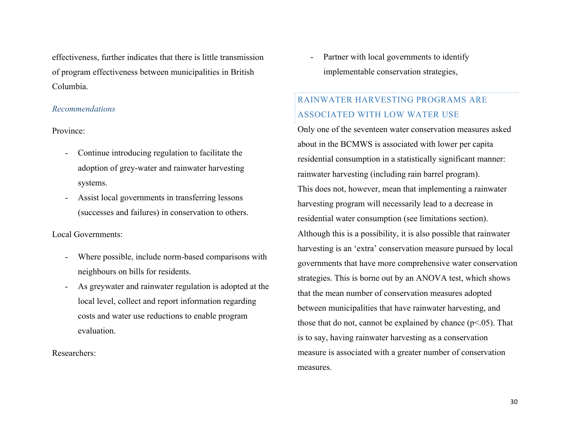effectiveness, further indicates that there is little transmission of program effectiveness between municipalities in British Columbia.

#### *Recommendations*

Province:

- Continue introducing regulation to facilitate the adoption of grey-water and rainwater harvesting systems.
- Assist local governments in transferring lessons (successes and failures) in conservation to others.

#### Local Governments:

- Where possible, include norm-based comparisons with neighbours on bills for residents.
- As greywater and rainwater regulation is adopted at the local level, collect and report information regarding costs and water use reductions to enable program evaluation.

Researchers:

- Partner with local governments to identify implementable conservation strategies,

# RAINWATER HARVESTING PROGRAMS ARE ASSOCIATED WITH LOW WATER USE

Only one of the seventeen water conservation measures asked about in the BCMWS is associated with lower per capita residential consumption in a statistically significant manner: rainwater harvesting (including rain barrel program). This does not, however, mean that implementing a rainwater harvesting program will necessarily lead to a decrease in residential water consumption (see limitations section). Although this is a possibility, it is also possible that rainwater harvesting is an 'extra' conservation measure pursued by local governments that have more comprehensive water conservation strategies. This is borne out by an ANOVA test, which shows that the mean number of conservation measures adopted between municipalities that have rainwater harvesting, and those that do not, cannot be explained by chance  $(p<0.05)$ . That is to say, having rainwater harvesting as a conservation measure is associated with a greater number of conservation measures.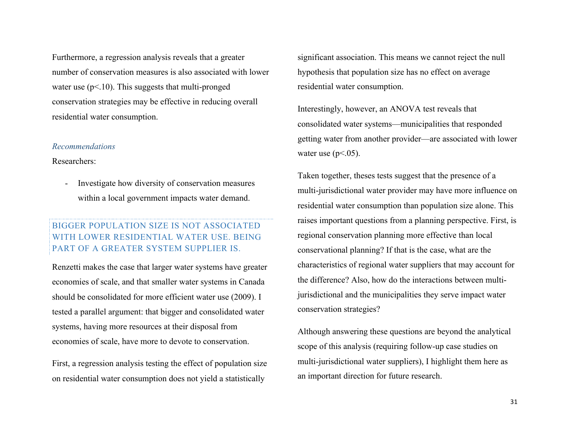Furthermore, a regression analysis reveals that a greater number of conservation measures is also associated with lower water use  $(p<10)$ . This suggests that multi-pronged conservation strategies may be effective in reducing overall residential water consumption.

#### *Recommendations*

#### Researchers:

- Investigate how diversity of conservation measures within a local government impacts water demand.

## BIGGER POPULATION SIZE IS NOT ASSOCIATED WITH LOWER RESIDENTIAL WATER USE. BEING PART OF A GREATER SYSTEM SUPPLIER IS.

Renzetti makes the case that larger water systems have greater economies of scale, and that smaller water systems in Canada should be consolidated for more efficient water use (2009). I tested a parallel argument: that bigger and consolidated water systems, having more resources at their disposal from economies of scale, have more to devote to conservation.

First, a regression analysis testing the effect of population size on residential water consumption does not yield a statistically

significant association. This means we cannot reject the null hypothesis that population size has no effect on average residential water consumption.

Interestingly, however, an ANOVA test reveals that consolidated water systems—municipalities that responded getting water from another provider—are associated with lower water use  $(p<.05)$ .

Taken together, theses tests suggest that the presence of a multi-jurisdictional water provider may have more influence on residential water consumption than population size alone. This raises important questions from a planning perspective. First, is regional conservation planning more effective than local conservational planning? If that is the case, what are the characteristics of regional water suppliers that may account for the difference? Also, how do the interactions between multijurisdictional and the municipalities they serve impact water conservation strategies?

Although answering these questions are beyond the analytical scope of this analysis (requiring follow-up case studies on multi-jurisdictional water suppliers), I highlight them here as an important direction for future research.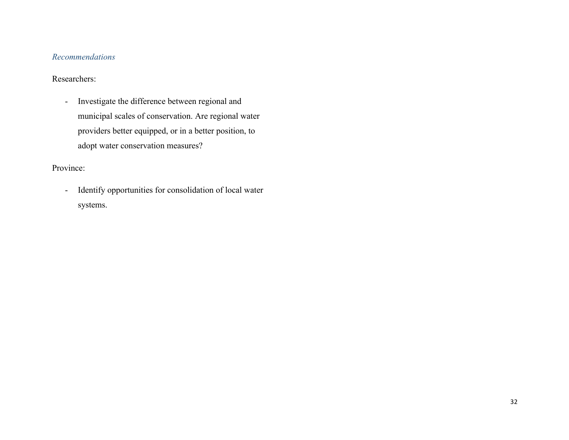## *Recommendations*

## Researchers:

- Investigate the difference between regional and municipal scales of conservation. Are regional water providers better equipped, or in a better position, to adopt water conservation measures?

## Province:

- Identify opportunities for consolidation of local water systems.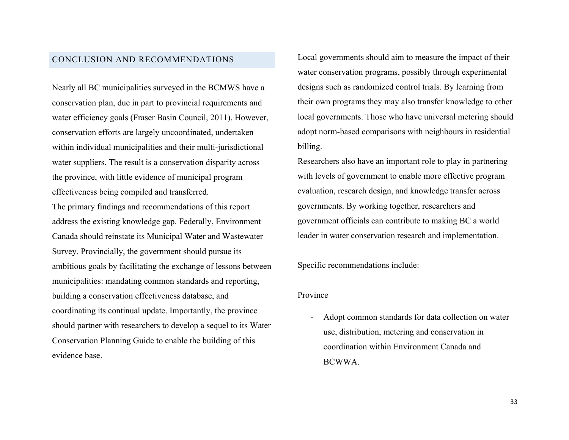#### CONCLUSION AND RECOMMENDATIONS

Nearly all BC municipalities surveyed in the BCMWS have a conservation plan, due in part to provincial requirements and water efficiency goals (Fraser Basin Council, 2011). However, conservation efforts are largely uncoordinated, undertaken within individual municipalities and their multi-jurisdictional water suppliers. The result is a conservation disparity across the province, with little evidence of municipal program effectiveness being compiled and transferred.

The primary findings and recommendations of this report address the existing knowledge gap. Federally, Environment Canada should reinstate its Municipal Water and Wastewater Survey. Provincially, the government should pursue its ambitious goals by facilitating the exchange of lessons between municipalities: mandating common standards and reporting, building a conservation effectiveness database, and coordinating its continual update. Importantly, the province should partner with researchers to develop a sequel to its Water Conservation Planning Guide to enable the building of this evidence base.

Local governments should aim to measure the impact of their water conservation programs, possibly through experimental designs such as randomized control trials. By learning from their own programs they may also transfer knowledge to other local governments. Those who have universal metering should adopt norm-based comparisons with neighbours in residential billing.

Researchers also have an important role to play in partnering with levels of government to enable more effective program evaluation, research design, and knowledge transfer across governments. By working together, researchers and government officials can contribute to making BC a world leader in water conservation research and implementation.

Specific recommendations include:

#### Province

Adopt common standards for data collection on water use, distribution, metering and conservation in coordination within Environment Canada and BCWWA.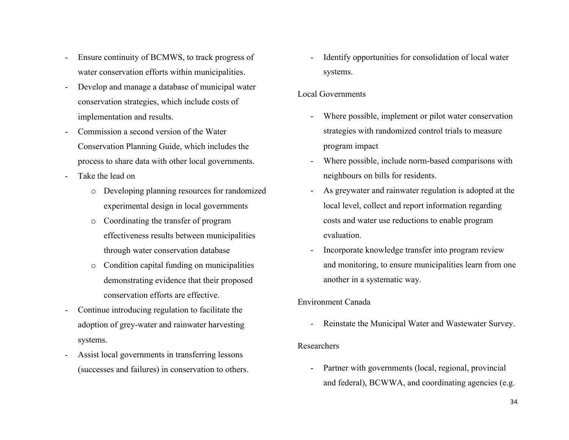- Ensure continuity of BCMWS, to track progress of water conservation efforts within municipalities.
- Develop and manage a database of municipal water conservation strategies, which include costs of implementation and results.
- Commission a second version of the Water Conservation Planning Guide, which includes the process to share data with other local governments.
- Take the lead on
	- o Developing planning resources for randomized experimental design in local governments
	- o Coordinating the transfer of program effectiveness results between municipalities through water conservation database
	- o Condition capital funding on municipalities demonstrating evidence that their proposed conservation efforts are effective.
- Continue introducing regulation to facilitate the adoption of grey-water and rainwater harvesting systems.
- Assist local governments in transferring lessons (successes and failures) in conservation to others.

Identify opportunities for consolidation of local water systems.

## Local Governments

- Where possible, implement or pilot water conservation strategies with randomized control trials to measure program impact
- Where possible, include norm-based comparisons with neighbours on bills for residents.
- As greywater and rainwater regulation is adopted at the local level, collect and report information regarding costs and water use reductions to enable program evaluation.
- Incorporate knowledge transfer into program review and monitoring, to ensure municipalities learn from one another in a systematic way.

## Environment Canada

Reinstate the Municipal Water and Wastewater Survey.

#### Researchers

Partner with governments (local, regional, provincial and federal), BCWWA, and coordinating agencies (e.g.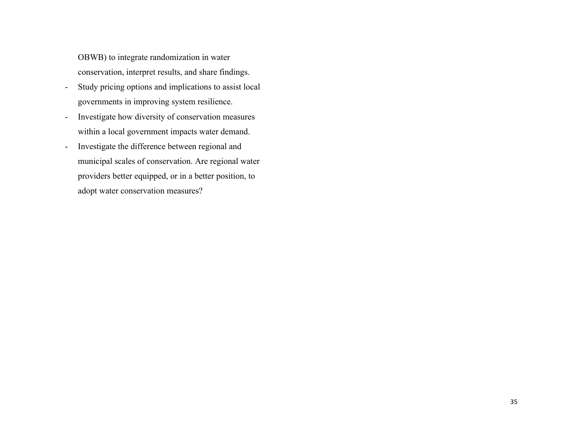OBWB) to integrate randomization in water conservation, interpret results, and share findings.

- Study pricing options and implications to assist local governments in improving system resilience.
- Investigate how diversity of conservation measures within a local government impacts water demand.
- Investigate the difference between regional and municipal scales of conservation. Are regional water providers better equipped, or in a better position, to adopt water conservation measures?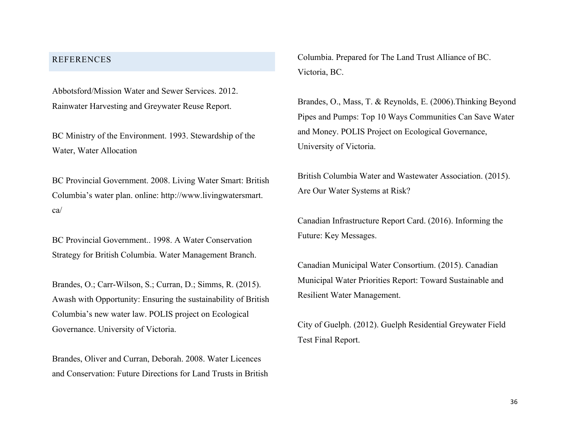## REFERENCES

Abbotsford/Mission Water and Sewer Services. 2012. Rainwater Harvesting and Greywater Reuse Report.

BC Ministry of the Environment. 1993. Stewardship of the Water, Water Allocation

BC Provincial Government. 2008. Living Water Smart: British Columbia's water plan. online: http://www.livingwatersmart. ca/

BC Provincial Government.. 1998. A Water Conservation Strategy for British Columbia. Water Management Branch.

Brandes, O.; Carr-Wilson, S.; Curran, D.; Simms, R. (2015). Awash with Opportunity: Ensuring the sustainability of British Columbia's new water law. POLIS project on Ecological Governance. University of Victoria.

Brandes, Oliver and Curran, Deborah. 2008. Water Licences and Conservation: Future Directions for Land Trusts in British Columbia. Prepared for The Land Trust Alliance of BC. Victoria, BC.

Brandes, O., Mass, T. & Reynolds, E. (2006).Thinking Beyond Pipes and Pumps: Top 10 Ways Communities Can Save Water and Money. POLIS Project on Ecological Governance, University of Victoria.

British Columbia Water and Wastewater Association. (2015). Are Our Water Systems at Risk?

Canadian Infrastructure Report Card. (2016). Informing the Future: Key Messages.

Canadian Municipal Water Consortium. (2015). Canadian Municipal Water Priorities Report: Toward Sustainable and Resilient Water Management.

City of Guelph. (2012). Guelph Residential Greywater Field Test Final Report.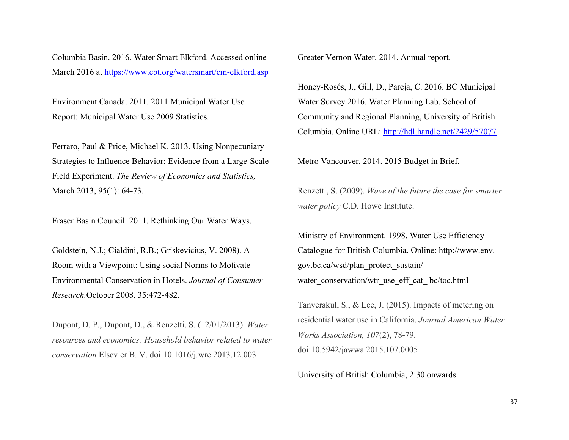Columbia Basin. 2016. Water Smart Elkford. Accessed online March 2016 at https://www.cbt.org/watersmart/cm-elkford.asp

Environment Canada. 2011. 2011 Municipal Water Use Report: Municipal Water Use 2009 Statistics.

Ferraro, Paul & Price, Michael K. 2013. Using Nonpecuniary Strategies to Influence Behavior: Evidence from a Large-Scale Field Experiment. *The Review of Economics and Statistics,*  March 2013, 95(1): 64-73.

Fraser Basin Council. 2011. Rethinking Our Water Ways.

Goldstein, N.J.; Cialdini, R.B.; Griskevicius, V. 2008). A Room with a Viewpoint: Using social Norms to Motivate Environmental Conservation in Hotels. *Journal of Consumer Research.*October 2008, 35:472-482.

Dupont, D. P., Dupont, D., & Renzetti, S. (12/01/2013). *Water resources and economics: Household behavior related to water conservation* Elsevier B. V. doi:10.1016/j.wre.2013.12.003

Greater Vernon Water. 2014. Annual report.

Honey-Rosés, J., Gill, D., Pareja, C. 2016. BC Municipal Water Survey 2016. Water Planning Lab. School of Community and Regional Planning, University of British Columbia. Online URL: http://hdl.handle.net/2429/57077

Metro Vancouver. 2014. 2015 Budget in Brief.

Renzetti, S. (2009). *Wave of the future the case for smarter water policy* C.D. Howe Institute.

Ministry of Environment. 1998. Water Use Efficiency Catalogue for British Columbia. Online: http://www.env. gov.bc.ca/wsd/plan\_protect\_sustain/ water\_conservation/wtr\_use\_eff\_cat\_ bc/toc.html

Tanverakul, S., & Lee, J. (2015). Impacts of metering on residential water use in California. *Journal American Water Works Association, 107*(2), 78-79. doi:10.5942/jawwa.2015.107.0005

University of British Columbia, 2:30 onwards